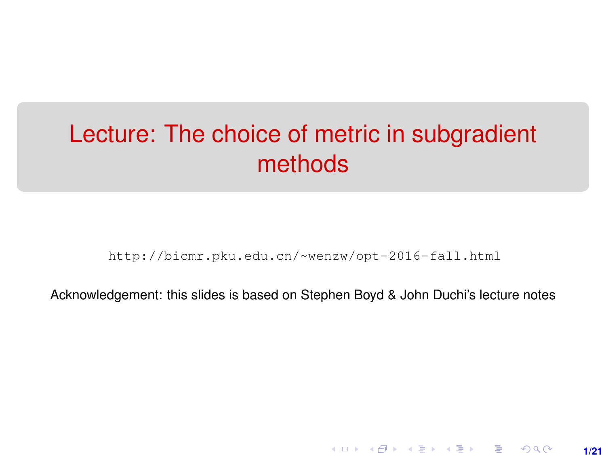# <span id="page-0-0"></span>Lecture: The choice of metric in subgradient methods

[http://bicmr.pku.edu.cn/~wenzw/opt-2016-fall.html](http://bicmr.pku.edu.cn/~wenzw/opt-2016-fall.html )

Acknowledgement: this slides is based on Stephen Boyd & John Duchi's lecture notes

**1/21**

K ロ ▶ K 레 ▶ K 회 ▶ K 회 ▶ │ 회 │ ⊙ Q Q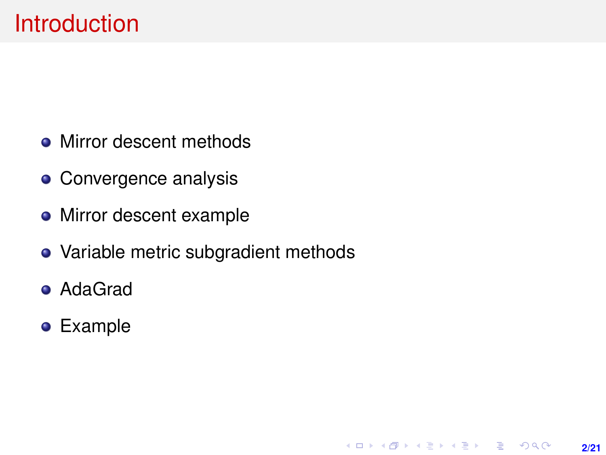- Mirror descent methods
- Convergence analysis
- Mirror descent example
- Variable metric subgradient methods

**2/21**

K ロ ▶ K @ ▶ K 할 > K 할 > 1 할 > 1 이익어

- AdaGrad
- Example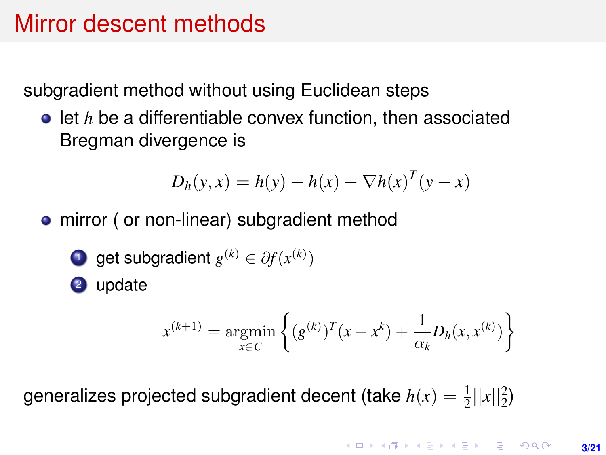# Mirror descent methods

subgradient method without using Euclidean steps

**•** let *h* be a differentiable convex function, then associated Bregman divergence is

$$
D_h(y, x) = h(y) - h(x) - \nabla h(x)^T (y - x)
$$

- mirror ( or non-linear) subgradient method
	- **1** get subgradient  $g^{(k)} \in \partial f(x^{(k)})$

<sup>2</sup> update

$$
x^{(k+1)} = \underset{x \in C}{\text{argmin}} \left\{ (g^{(k)})^T (x - x^k) + \frac{1}{\alpha_k} D_h(x, x^{(k)}) \right\}
$$

generalizes projected subgradient decent (take  $h(x) = \frac{1}{2} ||x||_2^2$ )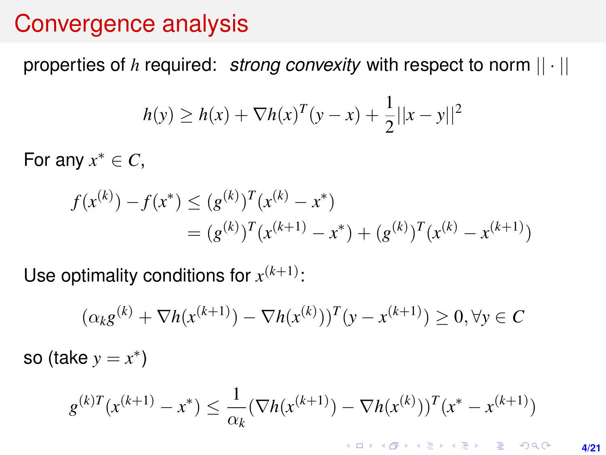### <span id="page-3-0"></span>Convergence analysis

properties of *h* required: *strong convexity* with respect to norm || · ||

$$
h(y) \ge h(x) + \nabla h(x)^{T} (y - x) + \frac{1}{2} ||x - y||^{2}
$$

For any  $x^* \in C$ ,

$$
f(x^{(k)}) - f(x^*) \le (g^{(k)})^T (x^{(k)} - x^*)
$$
  
=  $(g^{(k)})^T (x^{(k+1)} - x^*) + (g^{(k)})^T (x^{(k)} - x^{(k+1)})$ 

Use optimality conditions for  $x^{(k+1)}$ :

$$
(\alpha_k g^{(k)} + \nabla h(x^{(k+1)}) - \nabla h(x^{(k)}))^T (y - x^{(k+1)}) \ge 0, \forall y \in C
$$
  
so (take  $y = x^*$ )

$$
g^{(k)T}(x^{(k+1)} - x^*) \le \frac{1}{\alpha_k} (\nabla h(x^{(k+1)}) - \nabla h(x^{(k)}))^T (x^* - x^{(k+1)})
$$

**KOD KAD KED KED E YOUR 4/21**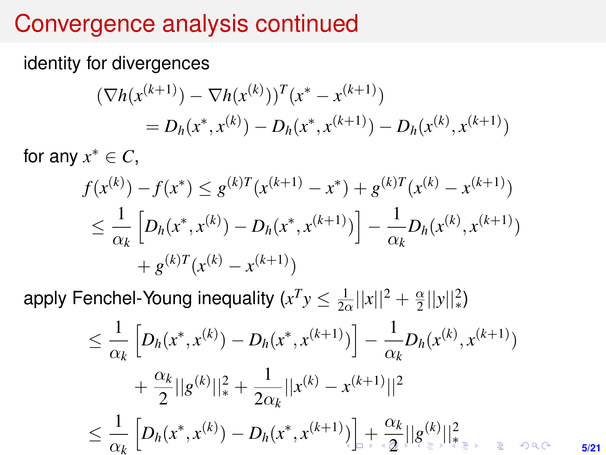# <span id="page-4-0"></span>Convergence analysis continued

identity for divergences

$$
\begin{aligned} \left(\nabla h(x^{(k+1)}) - \nabla h(x^{(k)})\right)^T (x^* - x^{(k+1)}) \\ &= D_h(x^*, x^{(k)}) - D_h(x^*, x^{(k+1)}) - D_h(x^{(k)}, x^{(k+1)}) \end{aligned}
$$

for any  $x^* \in C$ ,

$$
f(x^{(k)}) - f(x^*) \leq g^{(k)T}(x^{(k+1)} - x^*) + g^{(k)T}(x^{(k)} - x^{(k+1)})
$$
  
\n
$$
\leq \frac{1}{\alpha_k} \left[ D_h(x^*, x^{(k)}) - D_h(x^*, x^{(k+1)}) \right] - \frac{1}{\alpha_k} D_h(x^{(k)}, x^{(k+1)})
$$
  
\n
$$
+ g^{(k)T}(x^{(k)} - x^{(k+1)})
$$

apply Fenchel-Young inequality ( $x^Ty\leq \frac{1}{2\alpha}||x||^2+\frac{\alpha}{2}$  $\frac{\alpha}{2}||y||_*^2$ 

$$
\leq \frac{1}{\alpha_k} \left[ D_h(x^*, x^{(k)}) - D_h(x^*, x^{(k+1)}) \right] - \frac{1}{\alpha_k} D_h(x^{(k)}, x^{(k+1)}) + \frac{\alpha_k}{2} ||g^{(k)}||_*^2 + \frac{1}{2\alpha_k} ||x^{(k)} - x^{(k+1)}||^2 \leq \frac{1}{\alpha_k} \left[ D_h(x^*, x^{(k)}) - D_h(x^*, x^{(k+1)}) \right] + \frac{\alpha_k}{2} ||g_{\pm}^{(k)}||_{\frac{4}{3}(\frac{1}{2})}^2
$$

**5/21**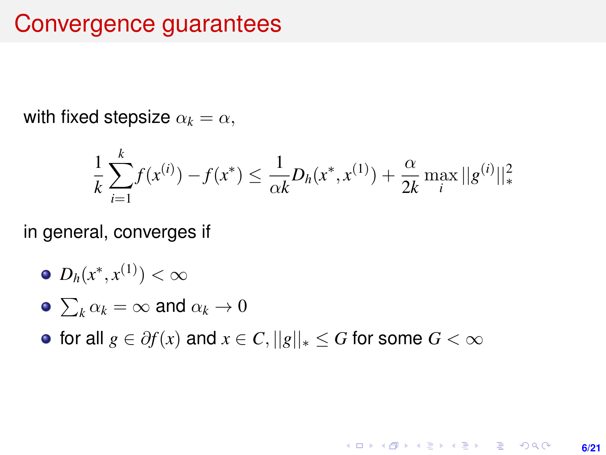### <span id="page-5-0"></span>Convergence guarantees

with fixed stepsize  $\alpha_k = \alpha$ ,

$$
\frac{1}{k}\sum_{i=1}^{k} f(x^{(i)}) - f(x^*) \le \frac{1}{\alpha k} D_h(x^*, x^{(1)}) + \frac{\alpha}{2k} \max_{i} ||g^{(i)}||_*^2
$$

in general, converges if

$$
\bullet \ D_h(x^*,x^{(1)})<\infty
$$

• 
$$
\sum_k \alpha_k = \infty
$$
 and  $\alpha_k \to 0$ 

**•** for all  $g \in \partial f(x)$  and  $x \in C$ ,  $||g||_* \leq G$  for some  $G < \infty$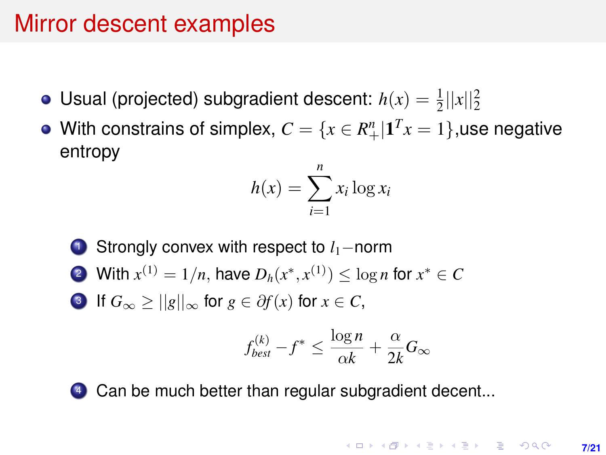# Mirror descent examples

- Usual (projected) subgradient descent:  $h(x) = \frac{1}{2}||x||_2^2$
- With constrains of simplex,  $C = \{x \in R_+^n | \mathbf{1}^T x = 1\},$ use negative entropy

$$
h(x) = \sum_{i=1}^{n} x_i \log x_i
$$

<sup>1</sup> Strongly convex with respect to *l*1−norm 2 With  $x^{(1)} = 1/n$ , have  $D_h(x^*, x^{(1)}) \le \log n$  for  $x^* \in C$ **3** If  $G_{\infty} \ge ||g||_{\infty}$  for  $g \in \partial f(x)$  for  $x \in C$ ,

$$
f_{best}^{(k)} - f^* \le \frac{\log n}{\alpha k} + \frac{\alpha}{2k} G_{\infty}
$$

4 Can be much better than regular subgradient decent...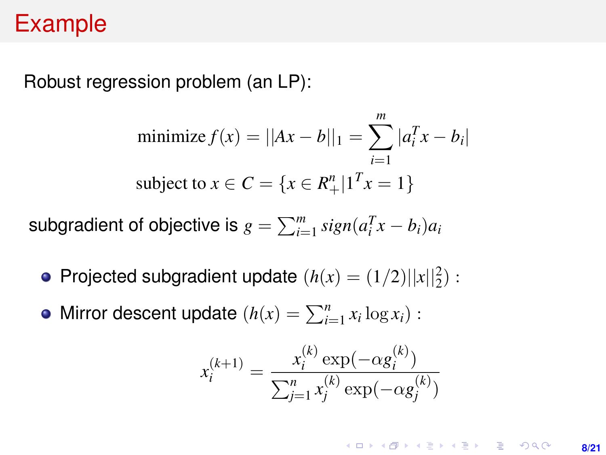## Example

Robust regression problem (an LP):

minimize 
$$
f(x) = ||Ax - b||_1 = \sum_{i=1}^{m} |a_i^T x - b_i|
$$
  
subject to  $x \in C = \{x \in R_+^n | 1^T x = 1\}$ 

subgradient of objective is  $g = \sum_{i=1}^{m} sign(a_i^Tx - b_i)a_i$ 

- Projected subgradient update  $(h(x) = (1/2)||x||_2^2)$ :
- Mirror descent update  $(h(x) = \sum_{i=1}^{n} x_i \log x_i)$ :

$$
x_i^{(k+1)} = \frac{x_i^{(k)} \exp(-\alpha g_i^{(k)})}{\sum_{j=1}^n x_j^{(k)} \exp(-\alpha g_j^{(k)})}
$$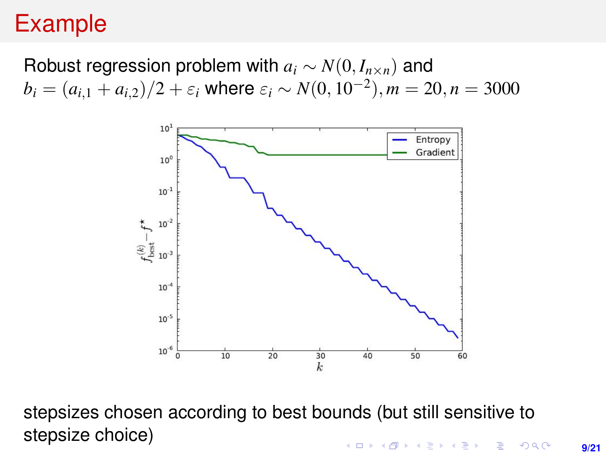# Example

### Robust regression problem with  $a_i \sim N(0, I_{n \times n})$  and  $b_i = (a_{i,1} + a_{i,2})/2 + \varepsilon_i$  where  $\varepsilon_i \sim N(0, 10^{-2}), m = 20, n = 3000$



stepsizes chosen according to best bounds (but still sensitive to stepsize choice)**KORKARK (EXIST) E MAG**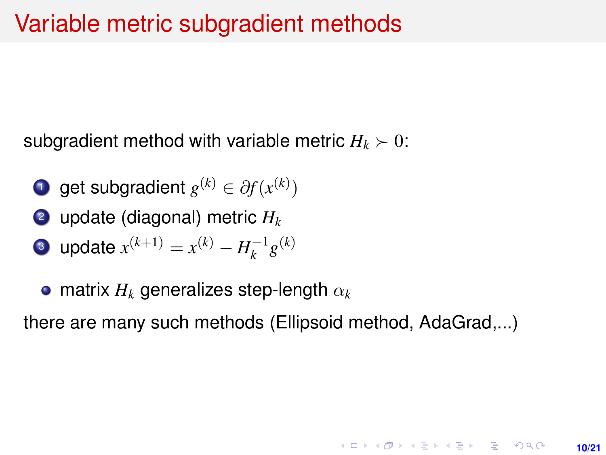subgradient method with variable metric  $H_k \succ 0$ :

- **1** get subgradient  $g^{(k)} \in \partial f(x^{(k)})$
- <sup>2</sup> update (diagonal) metric *H<sup>k</sup>*

• update 
$$
x^{(k+1)} = x^{(k)} - H_k^{-1}g^{(k)}
$$

matrix *H<sup>k</sup>* generalizes step-length α*<sup>k</sup>*

there are many such methods (Ellipsoid method, AdaGrad,...)

**10/21**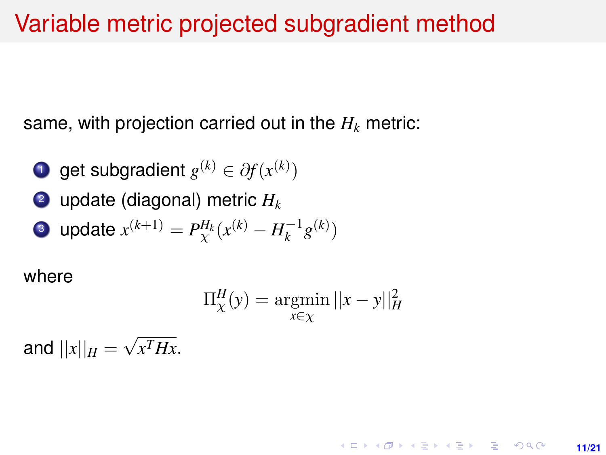## Variable metric projected subgradient method

same, with projection carried out in the  $H_k$  metric:

- **1** get subgradient  $g^{(k)} \in \partial f(x^{(k)})$
- <sup>2</sup> update (diagonal) metric *H<sup>k</sup>*

• update 
$$
x^{(k+1)} = P_{\chi}^{H_k}(x^{(k)} - H_k^{-1}g^{(k)})
$$

where

$$
\Pi_{\chi}^{H}(y) = \underset{x \in \chi}{\operatorname{argmin}} ||x - y||_{H}^{2}
$$

**11/21**

and  $||x||_H =$ √ *x THx*.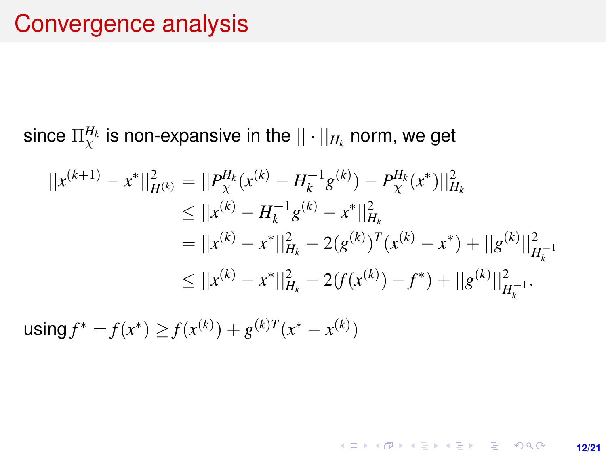since  $\Pi_\chi^{H_k}$  is non-expansive in the  $||\cdot||_{H_k}$  norm, we get

$$
||x^{(k+1)} - x^*||_{H^{(k)}}^2 = ||P_X^{H_k}(x^{(k)} - H_k^{-1}g^{(k)}) - P_X^{H_k}(x^*)||_{H_k}^2
$$
  
\n
$$
\leq ||x^{(k)} - H_k^{-1}g^{(k)} - x^*||_{H_k}^2
$$
  
\n
$$
= ||x^{(k)} - x^*||_{H_k}^2 - 2(g^{(k)})^T(x^{(k)} - x^*) + ||g^{(k)}||_{H_k^{-1}}^2
$$
  
\n
$$
\leq ||x^{(k)} - x^*||_{H_k}^2 - 2(f(x^{(k)}) - f^*) + ||g^{(k)}||_{H_k^{-1}}^2.
$$

**12/21**

K ロ X x (倒 X X 至 X X 至 X → ① N Q Q →

 $\textsf{using } f^* = f(x^*) \geq f(x^{(k)}) + g^{(k)T}(x^* - x^{(k)})$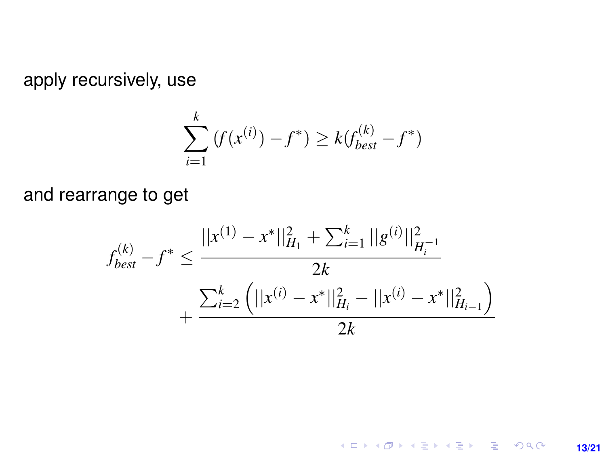apply recursively, use

$$
\sum_{i=1}^{k} (f(x^{(i)}) - f^*) \ge k(f_{best}^{(k)} - f^*)
$$

and rearrange to get

$$
f_{best}^{(k)} - f^* \le \frac{||x^{(1)} - x^*||_{H_1}^2 + \sum_{i=1}^k ||g^{(i)}||_{H_i^{-1}}^2}{2k} + \frac{\sum_{i=2}^k (||x^{(i)} - x^*||_{H_i}^2 - ||x^{(i)} - x^*||_{H_{i-1}}^2)}{2k}
$$

K ロ X (日) X (日) X (日) X (日) X (日) X (日) X (日) X (日) X (日) X (日) **13/21**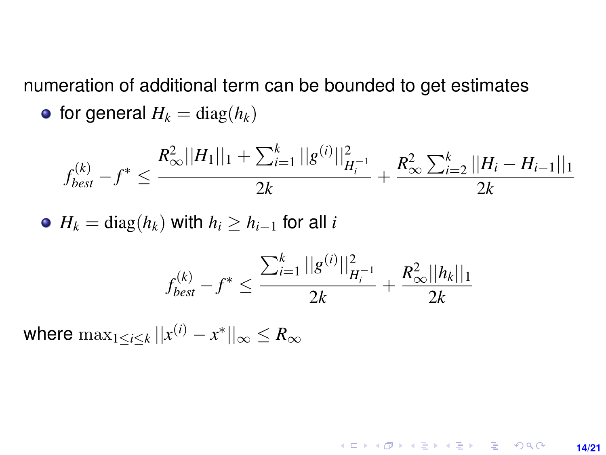numeration of additional term can be bounded to get estimates

• for general 
$$
H_k = \text{diag}(h_k)
$$

$$
f_{best}^{(k)} - f^* \le \frac{R_{\infty}^2 ||H_1||_1 + \sum_{i=1}^k ||g^{(i)}||_{H_i^{-1}}^2}{2k} + \frac{R_{\infty}^2 \sum_{i=2}^k ||H_i - H_{i-1}||_1}{2k}
$$

• 
$$
H_k = \text{diag}(h_k)
$$
 with  $h_i \ge h_{i-1}$  for all  $i$ 

$$
f_{best}^{(k)} - f^* \le \frac{\sum_{i=1}^k ||g^{(i)}||^2_{H_i^{-1}}}{2k} + \frac{R^2_{\infty}||h_k||_1}{2k}
$$

**14/21**

**K ロ X (日) X 제공 X 제공 X 기공 및 X X 이 Q (0)** 

where  $\max_{1\leq i\leq k}||x^{(i)}-x^*||_\infty\leq R_\infty$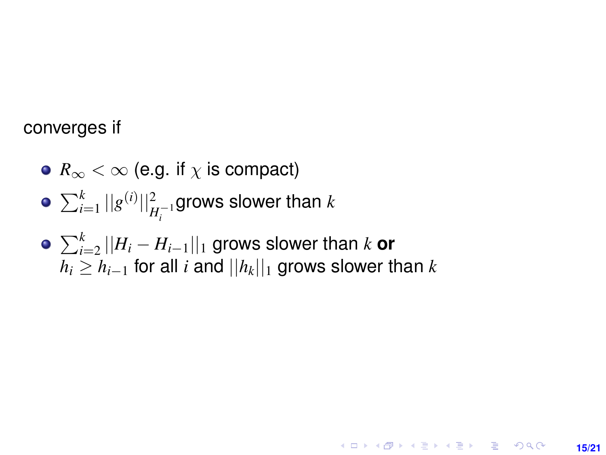#### converges if

- $\bullet$   $R_{\infty}$  <  $\infty$  (e.g. if  $\chi$  is compact)
- $\sum_{i=1}^k ||g^{(i)}||^2_{H_i^{-1}}$ grows slower than  $k$
- $\sum_{i=2}^k ||H_i H_{i-1}||_1$  grows slower than  $k$  **or** *h*<sub>*i*</sub> ≥ *h*<sub>*i*−1</sub> for all *i* and  $||h_k||_1$  grows slower than *k*

**15/21**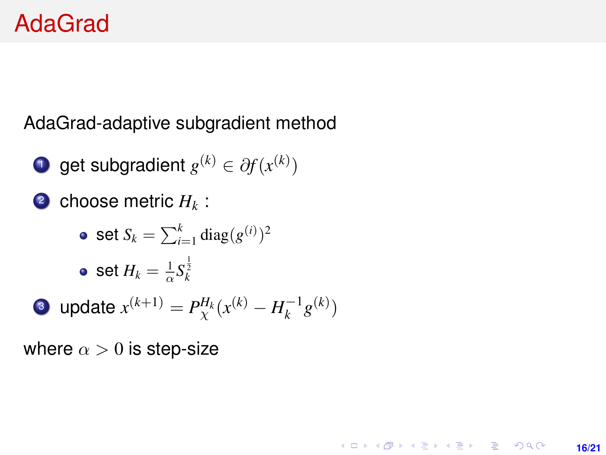# AdaGrad

AdaGrad-adaptive subgradient method

- **1** get subgradient  $g^{(k)} \in \partial f(x^{(k)})$
- 2 choose metric  $H_k$ :
	- set  $S_k = \sum_{i=1}^k \text{diag}(g^{(i)})^2$ set  $H_k = \frac{1}{\alpha} S_k^{\frac{1}{2}}$

• update 
$$
x^{(k+1)} = P_{\chi}^{H_k}(x^{(k)} - H_k^{-1}g^{(k)})
$$

**16/21**

**KORKARK A BIK BIKA A GA A GA A GA A BIKA A BIKA A BIKA A BIKA A BIKA A BIKA A BIKA A BIKA A BIKA A BIKA A BIKA** 

where  $\alpha > 0$  is step-size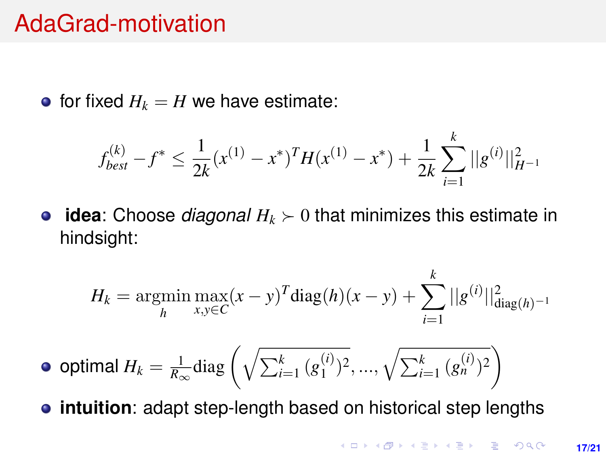### AdaGrad-motivation

• for fixed  $H_k = H$  we have estimate:

$$
f_{best}^{(k)} - f^* \le \frac{1}{2k} (x^{(1)} - x^*)^T H (x^{(1)} - x^*) + \frac{1}{2k} \sum_{i=1}^k ||g^{(i)}||_{H^{-1}}^2
$$

**• idea**: Choose *diagonal*  $H_k \succ 0$  that minimizes this estimate in hindsight:

$$
H_k = \underset{h}{\text{argmin}} \max_{x, y \in C} (x - y)^T \text{diag}(h)(x - y) + \sum_{i=1}^k ||g^{(i)}||_{\text{diag}(h)^{-1}}^2
$$

• optimal 
$$
H_k = \frac{1}{R_{\infty}} \text{diag}\left(\sqrt{\sum_{i=1}^k (g_1^{(i)})^2}, ..., \sqrt{\sum_{i=1}^k (g_n^{(i)})^2}\right)
$$

**intuition**: adapt step-length based on historical step lengths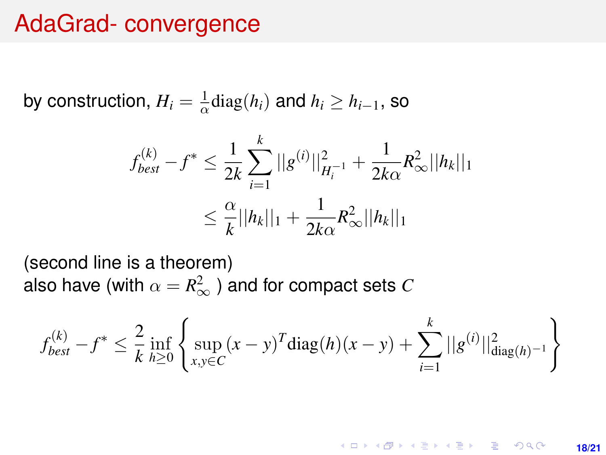### AdaGrad- convergence

by construction,  $H_i = \frac{1}{\alpha} \text{diag}(h_i)$  and  $h_i \geq h_{i-1}$ , so

$$
f_{best}^{(k)} - f^* \le \frac{1}{2k} \sum_{i=1}^k ||g^{(i)}||_{H_i^{-1}}^2 + \frac{1}{2k\alpha} R_{\infty}^2 ||h_k||_1
$$
  

$$
\le \frac{\alpha}{k} ||h_k||_1 + \frac{1}{2k\alpha} R_{\infty}^2 ||h_k||_1
$$

(second line is a theorem) also have (with  $\alpha=R_{\infty}^{2}$  ) and for compact sets  $C$ 

$$
f_{best}^{(k)} - f^* \le \frac{2}{k} \inf_{h \ge 0} \left\{ \sup_{x,y \in C} (x-y)^T \text{diag}(h)(x-y) + \sum_{i=1}^k ||g^{(i)}||_{\text{diag}(h)^{-1}}^2 \right\}
$$

**KORKARK KERKER DRAM 18/21**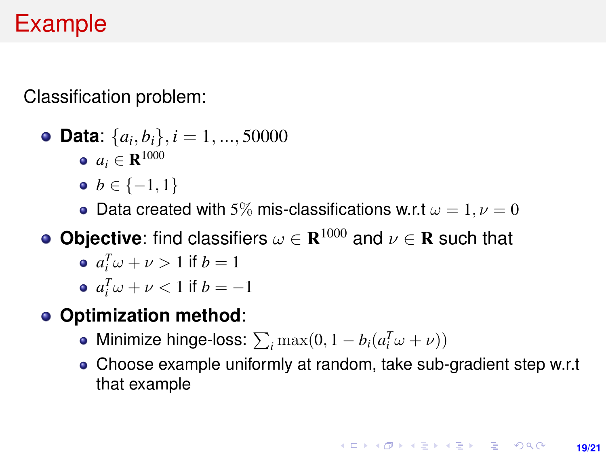# Example

Classification problem:

\n- **Data:** 
$$
\{a_i, b_i\}, i = 1, ..., 50000
$$
\n- $a_i \in \mathbb{R}^{1000}$
\n

- $\bullet \, b \in \{-1, 1\}$
- Data created with 5% mis-classifications w.r.t  $\omega = 1, \nu = 0$
- **Objective**: find classifiers  $\omega \in \mathbf{R}^{1000}$  and  $\nu \in \mathbf{R}$  such that
	- $a_i^T \omega + \nu > 1$  if  $b = 1$
	- $a_i^T \omega + \nu < 1$  if  $b = -1$
- **Optimization method**:
	- Minimize hinge-loss:  $\sum_i \max(0, 1 b_i(a_i^T\omega + \nu))$
	- Choose example uniformly at random, take sub-gradient step w.r.t that example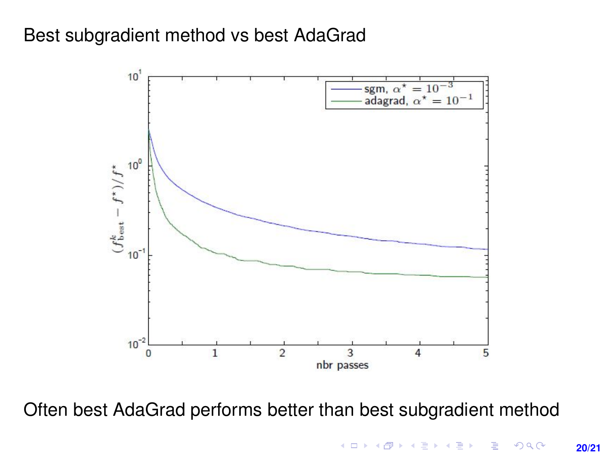### Best subgradient method vs best AdaGrad



Often best AdaGrad performs better than best subgradient method